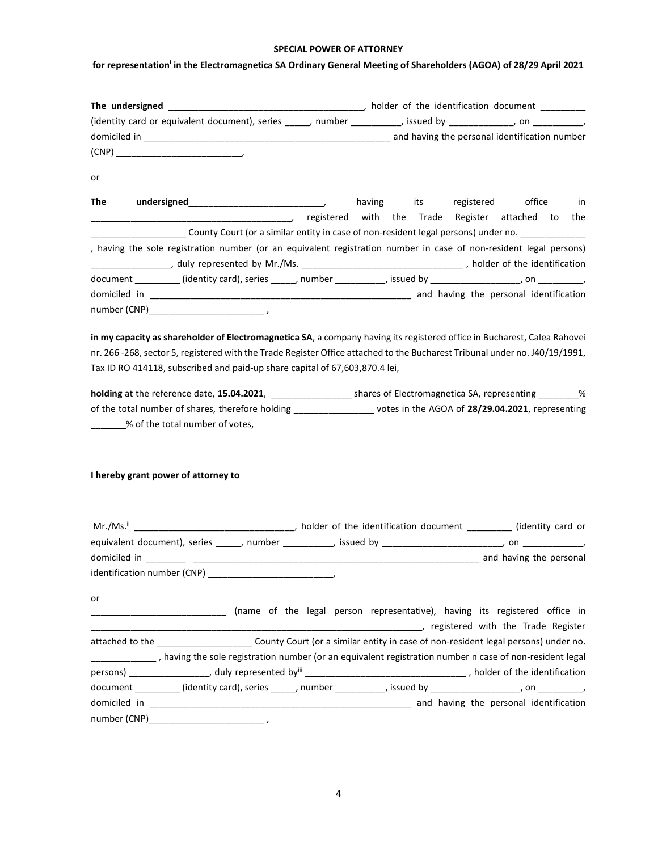## SPECIAL POWER OF ATTORNEY

## for representation<sup>i</sup> in the Electromagnetica SA Ordinary General Meeting of Shareholders (AGOA) of 28/29 April 2021

| (identity card or equivalent document), series _____, number _________, issued by ___________, on ________,                                                             |  |  |                                                |     |
|-------------------------------------------------------------------------------------------------------------------------------------------------------------------------|--|--|------------------------------------------------|-----|
|                                                                                                                                                                         |  |  |                                                |     |
|                                                                                                                                                                         |  |  |                                                |     |
| or                                                                                                                                                                      |  |  |                                                |     |
| <b>The</b>                                                                                                                                                              |  |  | having its registered office                   | in  |
|                                                                                                                                                                         |  |  | registered with the Trade Register attached to | the |
| County Court (or a similar entity in case of non-resident legal persons) under no. _________________                                                                    |  |  |                                                |     |
| , having the sole registration number (or an equivalent registration number in case of non-resident legal persons)                                                      |  |  |                                                |     |
|                                                                                                                                                                         |  |  |                                                |     |
| document _________(identity card), series ______, number __________, issued by _______________, on _________,                                                           |  |  |                                                |     |
|                                                                                                                                                                         |  |  |                                                |     |
| number (CNP)<br>$\mathcal{L} = \{ \mathcal{L} \mid \mathcal{L} \in \mathcal{L} \}$ . The contract of $\mathcal{L} = \{ \mathcal{L} \mid \mathcal{L} \in \mathcal{L} \}$ |  |  |                                                |     |

in my capacity as shareholder of Electromagnetica SA, a company having its registered office in Bucharest, Calea Rahovei nr. 266 -268, sector 5, registered with the Trade Register Office attached to the Bucharest Tribunal under no. J40/19/1991, Tax ID RO 414118, subscribed and paid-up share capital of 67,603,870.4 lei,

holding at the reference date, 15.04.2021, \_\_\_\_\_\_\_\_\_\_\_\_\_\_\_\_\_\_\_\_ shares of Electromagnetica SA, representing \_\_\_\_\_\_\_\_% of the total number of shares, therefore holding \_\_\_\_\_\_\_\_\_\_\_\_\_\_\_\_\_\_ votes in the AGOA of 28/29.04.2021, representing **120.1232.12.23** Sof the total number of votes,

## I hereby grant power of attorney to

| or |  |                                                                                                                          |
|----|--|--------------------------------------------------------------------------------------------------------------------------|
|    |  | _________________________________ (name of the legal person representative), having its registered office in             |
|    |  | registered with the Trade Register                                                                                       |
|    |  | attached to the ______________________County Court (or a similar entity in case of non-resident legal persons) under no. |
|    |  | ___________, having the sole registration number (or an equivalent registration number n case of non-resident legal      |
|    |  |                                                                                                                          |
|    |  | document _________(identity card), series ______, number __________, issued by ______________, on _________,             |
|    |  |                                                                                                                          |
|    |  |                                                                                                                          |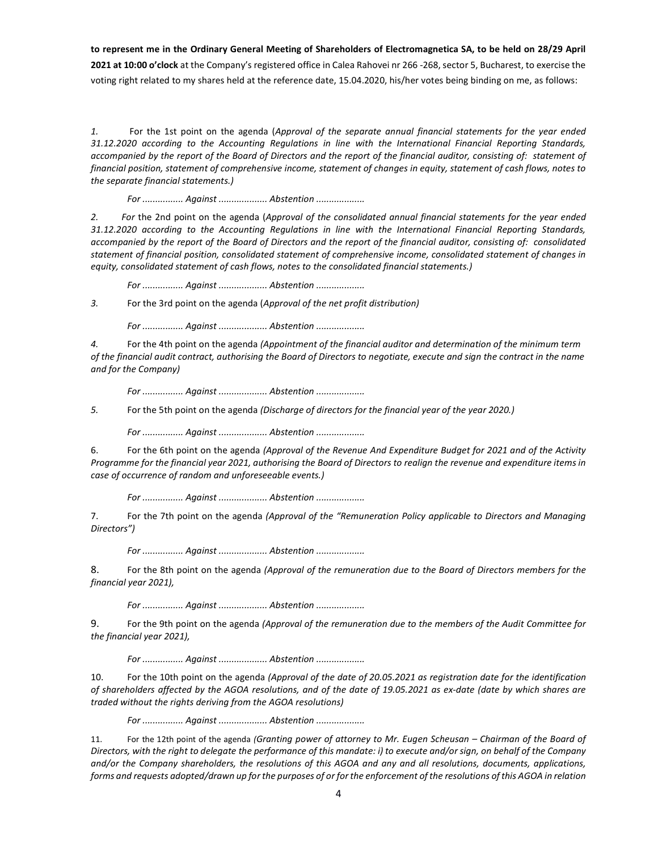to represent me in the Ordinary General Meeting of Shareholders of Electromagnetica SA, to be held on 28/29 April 2021 at 10:00 o'clock at the Company's registered office in Calea Rahovei nr 266 -268, sector 5, Bucharest, to exercise the voting right related to my shares held at the reference date, 15.04.2020, his/her votes being binding on me, as follows:

1. For the 1st point on the agenda (Approval of the separate annual financial statements for the year ended 31.12.2020 according to the Accounting Regulations in line with the International Financial Reporting Standards, accompanied by the report of the Board of Directors and the report of the financial auditor, consisting of: statement of financial position, statement of comprehensive income, statement of changes in equity, statement of cash flows, notes to the separate financial statements.)

For ................ Against ................... Abstention ...................

2. For the 2nd point on the agenda (Approval of the consolidated annual financial statements for the year ended 31.12.2020 according to the Accounting Regulations in line with the International Financial Reporting Standards, accompanied by the report of the Board of Directors and the report of the financial auditor, consisting of: consolidated statement of financial position, consolidated statement of comprehensive income, consolidated statement of changes in equity, consolidated statement of cash flows, notes to the consolidated financial statements.)

For ................ Against ................... Abstention ....................

3. For the 3rd point on the agenda (Approval of the net profit distribution)

For ................ Against ................... Abstention ...................

4. For the 4th point on the agenda (Appointment of the financial auditor and determination of the minimum term of the financial audit contract, authorising the Board of Directors to negotiate, execute and sign the contract in the name and for the Company)

For ................ Against ................... Abstention ....................

5. For the 5th point on the agenda (Discharge of directors for the financial year of the year 2020.)

For ................ Against ................... Abstention ...................

6. For the 6th point on the agenda (Approval of the Revenue And Expenditure Budget for 2021 and of the Activity Programme for the financial year 2021, authorising the Board of Directors to realign the revenue and expenditure items in case of occurrence of random and unforeseeable events.)

For ................ Against ................... Abstention ....................

7. For the 7th point on the agenda (Approval of the "Remuneration Policy applicable to Directors and Managing Directors")

For ................ Against ................... Abstention ....................

8. For the 8th point on the agenda (Approval of the remuneration due to the Board of Directors members for the financial year 2021),

For ................ Against ................... Abstention ...................

9. For the 9th point on the agenda (Approval of the remuneration due to the members of the Audit Committee for the financial year 2021),

For ................ Against ................... Abstention ...................

10. For the 10th point on the agenda (Approval of the date of 20.05.2021 as registration date for the identification of shareholders affected by the AGOA resolutions, and of the date of 19.05.2021 as ex-date (date by which shares are traded without the rights deriving from the AGOA resolutions)

For ................ Against ................... Abstention ....................

11. For the 12th point of the agenda (Granting power of attorney to Mr. Eugen Scheusan – Chairman of the Board of Directors, with the right to delegate the performance of this mandate: i) to execute and/or sign, on behalf of the Company and/or the Company shareholders, the resolutions of this AGOA and any and all resolutions, documents, applications, forms and requests adopted/drawn up for the purposes of or for the enforcement of the resolutions of this AGOA in relation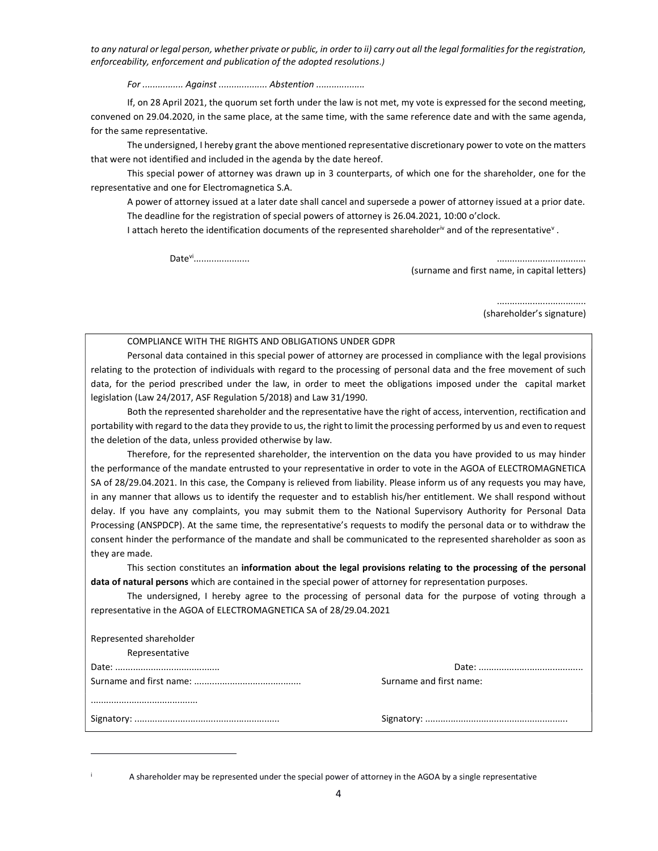to any natural or legal person, whether private or public, in order to ii) carry out all the legal formalities for the registration, enforceability, enforcement and publication of the adopted resolutions.)

For ................ Against ................... Abstention ...................

 If, on 28 April 2021, the quorum set forth under the law is not met, my vote is expressed for the second meeting, convened on 29.04.2020, in the same place, at the same time, with the same reference date and with the same agenda, for the same representative.

 The undersigned, I hereby grant the above mentioned representative discretionary power to vote on the matters that were not identified and included in the agenda by the date hereof.

 This special power of attorney was drawn up in 3 counterparts, of which one for the shareholder, one for the representative and one for Electromagnetica S.A.

A power of attorney issued at a later date shall cancel and supersede a power of attorney issued at a prior date. The deadline for the registration of special powers of attorney is 26.04.2021, 10:00 o'clock.

I attach hereto the identification documents of the represented shareholder<sup>iv</sup> and of the representative<sup>v</sup>.

Date<sup>vi</sup>.......................

(surname and first name, in capital letters)

................................... (shareholder's signature)

...................... ...................................

## COMPLIANCE WITH THE RIGHTS AND OBLIGATIONS UNDER GDPR

Personal data contained in this special power of attorney are processed in compliance with the legal provisions relating to the protection of individuals with regard to the processing of personal data and the free movement of such data, for the period prescribed under the law, in order to meet the obligations imposed under the capital market legislation (Law 24/2017, ASF Regulation 5/2018) and Law 31/1990.

Both the represented shareholder and the representative have the right of access, intervention, rectification and portability with regard to the data they provide to us, the right to limit the processing performed by us and even to request the deletion of the data, unless provided otherwise by law.

Therefore, for the represented shareholder, the intervention on the data you have provided to us may hinder the performance of the mandate entrusted to your representative in order to vote in the AGOA of ELECTROMAGNETICA SA of 28/29.04.2021. In this case, the Company is relieved from liability. Please inform us of any requests you may have, in any manner that allows us to identify the requester and to establish his/her entitlement. We shall respond without delay. If you have any complaints, you may submit them to the National Supervisory Authority for Personal Data Processing (ANSPDCP). At the same time, the representative's requests to modify the personal data or to withdraw the consent hinder the performance of the mandate and shall be communicated to the represented shareholder as soon as they are made.

This section constitutes an information about the legal provisions relating to the processing of the personal data of natural persons which are contained in the special power of attorney for representation purposes.

The undersigned, I hereby agree to the processing of personal data for the purpose of voting through a representative in the AGOA of ELECTROMAGNETICA SA of 28/29.04.2021

| Represented shareholder |                         |
|-------------------------|-------------------------|
| Representative          |                         |
|                         |                         |
|                         | Surname and first name: |
|                         |                         |

A shareholder may be represented under the special power of attorney in the AGOA by a single representative